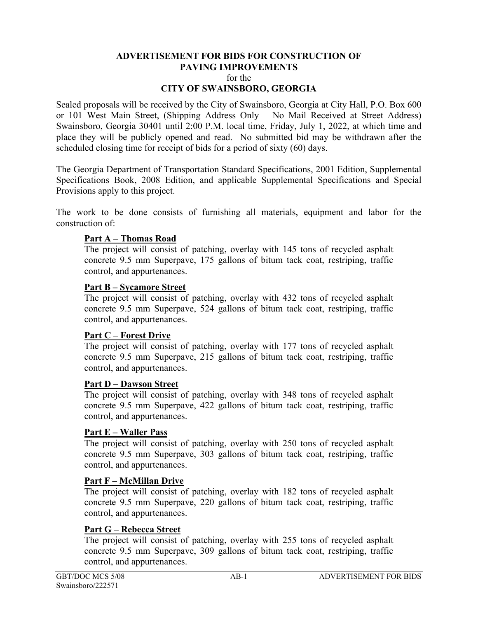# **ADVERTISEMENT FOR BIDS FOR CONSTRUCTION OF PAVING IMPROVEMENTS**  for the

# **CITY OF SWAINSBORO, GEORGIA**

Sealed proposals will be received by the City of Swainsboro, Georgia at City Hall, P.O. Box 600 or 101 West Main Street, (Shipping Address Only – No Mail Received at Street Address) Swainsboro, Georgia 30401 until 2:00 P.M. local time, Friday, July 1, 2022, at which time and place they will be publicly opened and read. No submitted bid may be withdrawn after the scheduled closing time for receipt of bids for a period of sixty (60) days.

The Georgia Department of Transportation Standard Specifications, 2001 Edition, Supplemental Specifications Book, 2008 Edition, and applicable Supplemental Specifications and Special Provisions apply to this project.

The work to be done consists of furnishing all materials, equipment and labor for the construction of:

#### **Part A – Thomas Road**

The project will consist of patching, overlay with 145 tons of recycled asphalt concrete 9.5 mm Superpave, 175 gallons of bitum tack coat, restriping, traffic control, and appurtenances.

#### **Part B – Sycamore Street**

The project will consist of patching, overlay with 432 tons of recycled asphalt concrete 9.5 mm Superpave, 524 gallons of bitum tack coat, restriping, traffic control, and appurtenances.

#### **Part C – Forest Drive**

The project will consist of patching, overlay with 177 tons of recycled asphalt concrete 9.5 mm Superpave, 215 gallons of bitum tack coat, restriping, traffic control, and appurtenances.

#### **Part D – Dawson Street**

The project will consist of patching, overlay with 348 tons of recycled asphalt concrete 9.5 mm Superpave, 422 gallons of bitum tack coat, restriping, traffic control, and appurtenances.

#### **Part E – Waller Pass**

The project will consist of patching, overlay with 250 tons of recycled asphalt concrete 9.5 mm Superpave, 303 gallons of bitum tack coat, restriping, traffic control, and appurtenances.

#### **Part F – McMillan Drive**

The project will consist of patching, overlay with 182 tons of recycled asphalt concrete 9.5 mm Superpave, 220 gallons of bitum tack coat, restriping, traffic control, and appurtenances.

#### **Part G – Rebecca Street**

The project will consist of patching, overlay with 255 tons of recycled asphalt concrete 9.5 mm Superpave, 309 gallons of bitum tack coat, restriping, traffic control, and appurtenances.